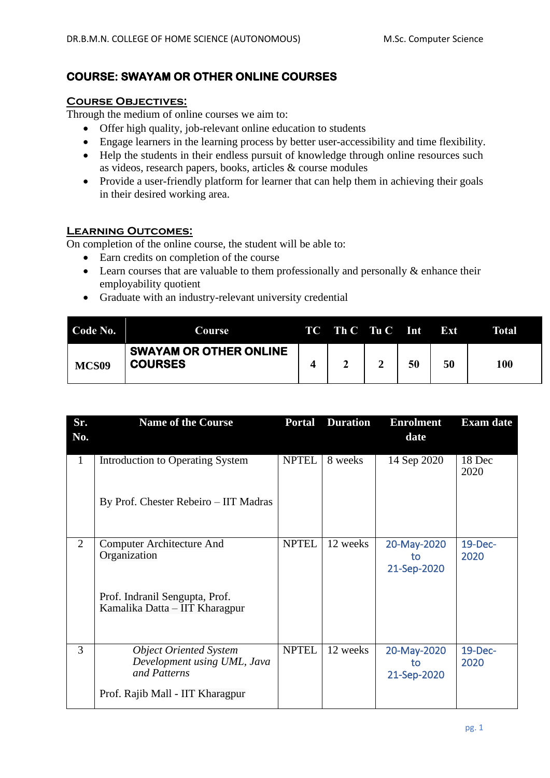## **COURSE: SWAYAM OR OTHER ONLINE COURSES**

## **Course Objectives:**

Through the medium of online courses we aim to:

- Offer high quality, job-relevant online education to students
- Engage learners in the learning process by better user-accessibility and time flexibility.
- Help the students in their endless pursuit of knowledge through online resources such as videos, research papers, books, articles & course modules
- Provide a user-friendly platform for learner that can help them in achieving their goals in their desired working area.

## **Learning Outcomes:**

On completion of the online course, the student will be able to:

- Earn credits on completion of the course
- Learn courses that are valuable to them professionally and personally  $\&$  enhance their employability quotient
- Graduate with an industry-relevant university credential

| Code No.          | Course                                          | TC Th C Tu C Int |    | Ext | Total |
|-------------------|-------------------------------------------------|------------------|----|-----|-------|
| MCS <sub>09</sub> | <b>SWAYAM OR OTHER ONLINE</b><br><b>COURSES</b> |                  | 50 | 50  | 100   |

| Sr.            | <b>Name of the Course</b>                                                    | <b>Portal</b> | <b>Duration</b> | <b>Enrolment</b>                 | <b>Exam date</b> |
|----------------|------------------------------------------------------------------------------|---------------|-----------------|----------------------------------|------------------|
| No.            |                                                                              |               |                 | date                             |                  |
| $\mathbf{1}$   | Introduction to Operating System                                             | <b>NPTEL</b>  | 8 weeks         | 14 Sep 2020                      | 18 Dec<br>2020   |
|                | By Prof. Chester Rebeiro - IIT Madras                                        |               |                 |                                  |                  |
| $\overline{2}$ | Computer Architecture And<br>Organization                                    | <b>NPTEL</b>  | 12 weeks        | 20-May-2020<br>to<br>21-Sep-2020 | 19-Dec-<br>2020  |
|                | Prof. Indranil Sengupta, Prof.<br>Kamalika Datta – IIT Kharagpur             |               |                 |                                  |                  |
| 3              | <b>Object Oriented System</b><br>Development using UML, Java<br>and Patterns | <b>NPTEL</b>  | 12 weeks        | 20-May-2020<br>to<br>21-Sep-2020 | 19-Dec-<br>2020  |
|                | Prof. Rajib Mall - IIT Kharagpur                                             |               |                 |                                  |                  |